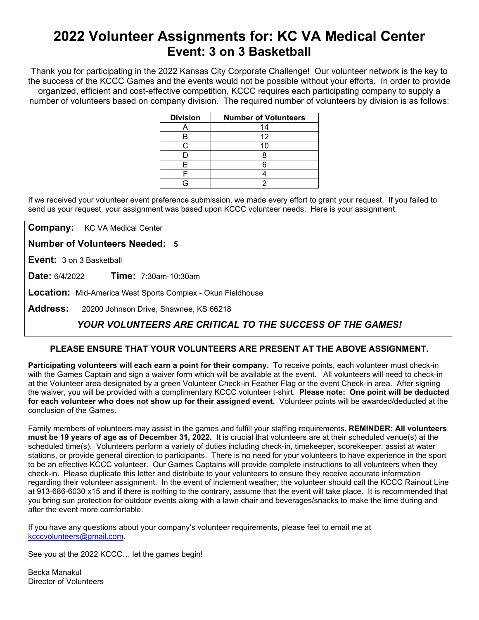# **2022 Volunteer Assignments for: KC VA Medical Center Event: 3 on 3 Basketball**

Thank you for participating in the 2022 Kansas City Corporate Challenge! Our volunteer network is the key to the success of the KCCC Games and the events would not be possible without your efforts.In order to provide organized, efficient and cost-effective competition, KCCC requires each participating company to supply a number of volunteers based on company division. The required number of volunteers by division is as follows:

| <b>Division</b> | <b>Number of Volunteers</b> |
|-----------------|-----------------------------|
|                 | 14                          |
| в               | 12                          |
| ◠               | 10                          |
|                 |                             |
| F               |                             |
|                 |                             |
|                 |                             |

If we received your volunteer event preference submission, we made every effort to grant your request. If you failed to send us your request, your assignment was based upon KCCC volunteer needs. Here is your assignment:

**Company:** KC VA Medical Center

**Number of Volunteers Needed: 5**

**Event:** 3 on 3 Basketball

**Date:** 6/4/2022 **Time:** 7:30am-10:30am

**Location:** Mid-America West Sports Complex - Okun Fieldhouse

**Address:** 20200 Johnson Drive, Shawnee, KS 66218

## *YOUR VOLUNTEERS ARE CRITICAL TO THE SUCCESS OF THE GAMES!*

### **PLEASE ENSURE THAT YOUR VOLUNTEERS ARE PRESENT AT THE ABOVE ASSIGNMENT.**

**Participating volunteers will each earn a point for their company.** To receive points, each volunteer must check-in with the Games Captain and sign a waiver form which will be available at the event. All volunteers will need to check-in at the Volunteer area designated by a green Volunteer Check-in Feather Flag or the event Check-in area. After signing the waiver, you will be provided with a complimentary KCCC volunteer t-shirt. **Please note: One point will be deducted for each volunteer who does not show up for their assigned event.** Volunteer points will be awarded/deducted at the conclusion of the Games.

Family members of volunteers may assist in the games and fulfill your staffing requirements. **REMINDER: All volunteers must be 19 years of age as of December 31, 2022.** It is crucial that volunteers are at their scheduled venue(s) at the scheduled time(s). Volunteers perform a variety of duties including check-in, timekeeper, scorekeeper, assist at water stations, or provide general direction to participants. There is no need for your volunteers to have experience in the sport to be an effective KCCC volunteer. Our Games Captains will provide complete instructions to all volunteers when they check-in. Please duplicate this letter and distribute to your volunteers to ensure they receive accurate information regarding their volunteer assignment. In the event of inclement weather, the volunteer should call the KCCC Rainout Line at 913-686-6030 x15 and if there is nothing to the contrary, assume that the event will take place. It is recommended that you bring sun protection for outdoor events along with a lawn chair and beverages/snacks to make the time during and after the event more comfortable.

If you have any questions about your company's volunteer requirements, please feel to email me at [kcccvolunteers@gmail.com.](mailto:kcccvolunteers@gmail.com)

See you at the 2022 KCCC… let the games begin!

Becka Manakul Director of Volunteers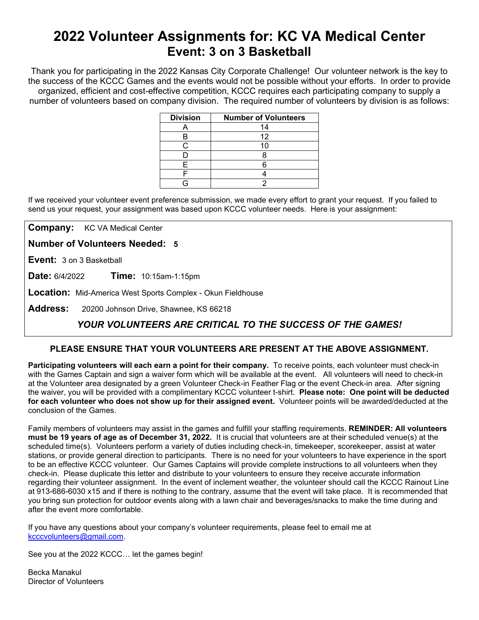# **2022 Volunteer Assignments for: KC VA Medical Center Event: 3 on 3 Basketball**

Thank you for participating in the 2022 Kansas City Corporate Challenge! Our volunteer network is the key to the success of the KCCC Games and the events would not be possible without your efforts.In order to provide organized, efficient and cost-effective competition, KCCC requires each participating company to supply a number of volunteers based on company division. The required number of volunteers by division is as follows:

| <b>Division</b> | <b>Number of Volunteers</b> |
|-----------------|-----------------------------|
|                 | 14                          |
| в               | 12                          |
| ◠               | 10                          |
|                 |                             |
| F               |                             |
|                 |                             |
|                 |                             |

If we received your volunteer event preference submission, we made every effort to grant your request. If you failed to send us your request, your assignment was based upon KCCC volunteer needs. Here is your assignment:

**Company:** KC VA Medical Center

**Number of Volunteers Needed: 5**

**Event:** 3 on 3 Basketball

**Date:** 6/4/2022 **Time:** 10:15am-1:15pm

**Location:** Mid-America West Sports Complex - Okun Fieldhouse

**Address:** 20200 Johnson Drive, Shawnee, KS 66218

## *YOUR VOLUNTEERS ARE CRITICAL TO THE SUCCESS OF THE GAMES!*

### **PLEASE ENSURE THAT YOUR VOLUNTEERS ARE PRESENT AT THE ABOVE ASSIGNMENT.**

**Participating volunteers will each earn a point for their company.** To receive points, each volunteer must check-in with the Games Captain and sign a waiver form which will be available at the event. All volunteers will need to check-in at the Volunteer area designated by a green Volunteer Check-in Feather Flag or the event Check-in area. After signing the waiver, you will be provided with a complimentary KCCC volunteer t-shirt. **Please note: One point will be deducted for each volunteer who does not show up for their assigned event.** Volunteer points will be awarded/deducted at the conclusion of the Games.

Family members of volunteers may assist in the games and fulfill your staffing requirements. **REMINDER: All volunteers must be 19 years of age as of December 31, 2022.** It is crucial that volunteers are at their scheduled venue(s) at the scheduled time(s). Volunteers perform a variety of duties including check-in, timekeeper, scorekeeper, assist at water stations, or provide general direction to participants. There is no need for your volunteers to have experience in the sport to be an effective KCCC volunteer. Our Games Captains will provide complete instructions to all volunteers when they check-in. Please duplicate this letter and distribute to your volunteers to ensure they receive accurate information regarding their volunteer assignment. In the event of inclement weather, the volunteer should call the KCCC Rainout Line at 913-686-6030 x15 and if there is nothing to the contrary, assume that the event will take place. It is recommended that you bring sun protection for outdoor events along with a lawn chair and beverages/snacks to make the time during and after the event more comfortable.

If you have any questions about your company's volunteer requirements, please feel to email me at [kcccvolunteers@gmail.com.](mailto:kcccvolunteers@gmail.com)

See you at the 2022 KCCC… let the games begin!

Becka Manakul Director of Volunteers